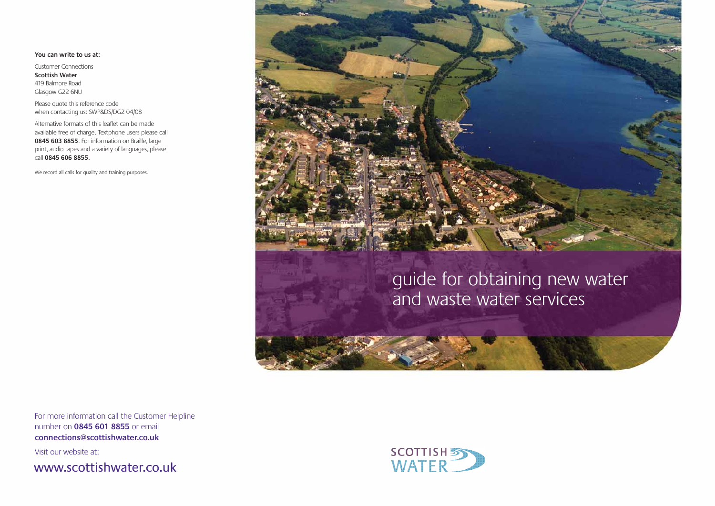### **You can write to us at:**

Customer Connections **Scottish Water** 419 Balmore Road Glasgow G22 6NU

Please quote this reference code when contacting us: SWP&DS/DG2 04/08

Alternative formats of this leaflet can be made available free of charge. Textphone users please call **0845 603 8855**. For information on Braille, large print, audio tapes and a variety of languages, please call **0845 606 8855**.

We record all calls for quality and training purposes.



For more information call the Customer Helpline number on **0845 601 8855** or email **connections@scottishwater.co.uk**

Visit our website at:

www.scottishwater.co.uk



# guide for obtaining new water and waste water services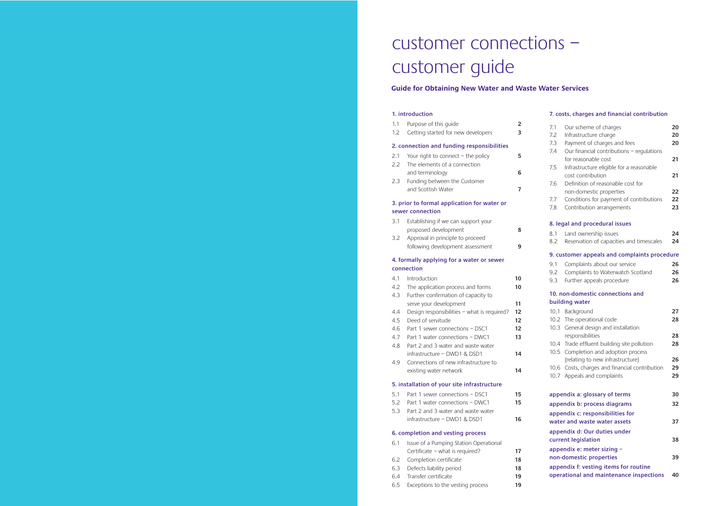#### **1. introduction**

| 1.1<br>1.2 | Purpose of this quide<br>Getting started for new developers | 2<br>3 |
|------------|-------------------------------------------------------------|--------|
|            | 2. connection and funding responsibilities                  |        |
| 2.1        | Your right to connect $-$ the policy                        |        |
| 22         | The elements of a connection                                |        |
|            | and terminology                                             |        |

2.3 Funding between the Customer and Scottish Water **7**

### **3. prior to formal application for water or sewer connection**

| 3.1 | Establishing if we can support your |  |
|-----|-------------------------------------|--|
|     | proposed development                |  |
| 3.2 | Approval in principle to proceed    |  |
|     | following development assessment    |  |

### **4. formally applying for a water or sewer connection**

| 4.1 | Introduction                                | 10 |
|-----|---------------------------------------------|----|
| 4.2 | The application process and forms           | 10 |
| 4.3 | Further confirmation of capacity to         |    |
|     | serve your development                      | 11 |
| 4.4 | Design responsibilities - what is required? | 12 |
| 4.5 | Deed of servitude                           | 12 |
| 4.6 | Part 1 sewer connections - DSC1             | 12 |
| 4.7 | Part 1 water connections – DWC1             | 13 |
| 4.8 | Part 2 and 3 water and waste water          |    |
|     | infrastructure – DWD1 & DSD1                | 14 |
| 4.9 | Connections of new infrastructure to        |    |
|     | existing water network                      | 14 |
|     | 5. installation of your site infrastructure |    |
| 5.1 | Part 1 sewer connections – DSC1             | 15 |
| 5.2 | Part 1 water connections – DWC1             | 15 |
| 5.3 | Part 2 and 3 water and waste water          |    |
|     | infrastructure – DWD1 & DSD1                | 16 |
|     |                                             |    |

#### **6. completion and vesting process**

| 6.1 | Issue of a Pumping Station Operational |    |
|-----|----------------------------------------|----|
|     | Certificate - what is required?        | 17 |
|     | 6.2 Completion certificate             | 18 |
|     | 6.3 Defects liability period           | 18 |
|     | 6.4 Transfer certificate               | 19 |
|     | 6.5 Exceptions to the vesting process  | 19 |

#### **7. costs, charges and financial contribution**

| 7.1          | Our scheme of charges                                               | 20 |
|--------------|---------------------------------------------------------------------|----|
| 7.2          | Infrastructure charge                                               | 20 |
| 7.3          | Payment of charges and fees                                         | 20 |
| 7.4          | Our financial contributions - regulations                           |    |
|              | for reasonable cost                                                 | 21 |
| 7.5          | Infrastructure eligible for a reasonable                            |    |
|              | cost contribution                                                   | 21 |
| 7.6          | Definition of reasonable cost for                                   |    |
|              | non-domestic properties                                             | 22 |
| 7.7          | Conditions for payment of contributions                             | 22 |
| 7.8          | Contribution arrangements                                           | 23 |
|              | 8. legal and procedural issues                                      |    |
| 8.1          | Land ownership issues                                               | 24 |
| 8.2          | Reservation of capacities and timescales                            | 24 |
|              | 9. customer appeals and complaints procedure                        |    |
| 9.1          | Complaints about our service                                        | 26 |
| 9.2          | Complaints to Waterwatch Scotland                                   | 26 |
| 9.3          | Further appeals procedure                                           | 26 |
|              |                                                                     |    |
|              | 10. non-domestic connections and<br>building water                  |    |
|              |                                                                     |    |
| 10.1         | Background                                                          | 27 |
| 10.2         | The operational code                                                | 28 |
| 10.3         | General design and installation                                     |    |
|              | responsibilities                                                    | 28 |
| 10.4<br>10.5 | Trade effluent building site pollution                              | 28 |
|              | Completion and adoption process<br>(relating to new infrastructure) | 26 |
| 10.6         | Costs, charges and financial contribution                           | 29 |
| 10.7         | Appeals and complaints                                              | 29 |
|              |                                                                     |    |
|              | appendix a: glossary of terms                                       | 30 |
|              | appendix b: process diagrams                                        | 32 |
|              | appendix c: responsibilities for                                    |    |
|              | water and waste water assets                                        | 37 |
|              | appendix d: Our duties under                                        |    |
|              | current legislation                                                 | 38 |
|              | appendix e: meter sizing -                                          |    |
|              | non-domestic properties                                             | 39 |
|              | appendix f: vesting items for routine                               |    |
|              | operational and maintenance inspections                             | 40 |

# customer connections – customer guide

# **Guide for Obtaining New Water and Waste Water Services**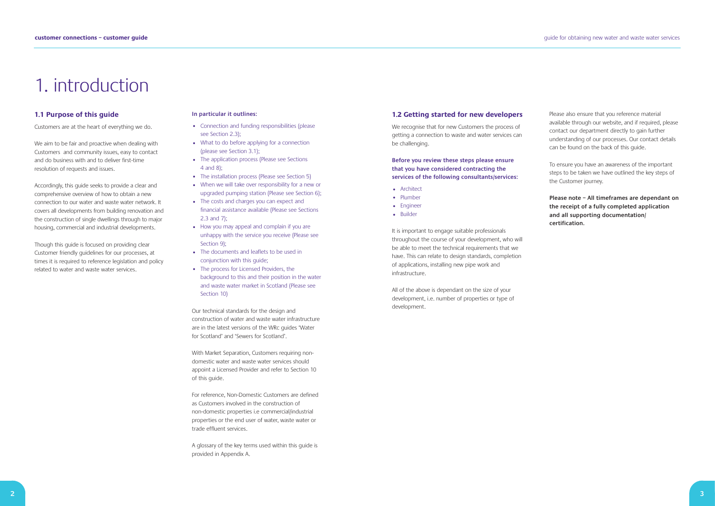# 1. introduction

#### **1.1 Purpose of this guide**

Customers are at the heart of everything we do.

We aim to be fair and proactive when dealing with Customers and community issues, easy to contact and do business with and to deliver first-time resolution of requests and issues.

Accordingly, this guide seeks to provide a clear and comprehensive overview of how to obtain a new connection to our water and waste water network. It covers all developments from building renovation and the construction of single dwellings through to major housing, commercial and industrial developments.

Though this guide is focused on providing clear Customer friendly guidelines for our processes, at times it is required to reference legislation and policy related to water and waste water services.

#### **In particular it outlines:**

We recognise that for new Customers the process of getting a connection to waste and water services can be challenging.

- Connection and funding responsibilities (please see Section 2.3);
- What to do before applying for a connection (please see Section 3.1);
- The application process (Please see Sections 4 and 8);
- The installation process (Please see Section 5)
- When we will take over responsibility for a new or upgraded pumping station (Please see Section 6);
- The costs and charges you can expect and financial assistance available (Please see Sections 2.3 and 7);
- How you may appeal and complain if you are unhappy with the service you receive (Please see Section 9);
- The documents and leaflets to be used in conjunction with this guide;
- The process for Licensed Providers, the background to this and their position in the water and waste water market in Scotland (Please see Section 10)

Our technical standards for the design and construction of water and waste water infrastructure are in the latest versions of the WRc guides 'Water for Scotland' and 'Sewers for Scotland'.

With Market Separation, Customers requiring nondomestic water and waste water services should appoint a Licensed Provider and refer to Section 10 of this guide.

For reference, Non-Domestic Customers are defined as Customers involved in the construction of non-domestic properties i.e commercial/industrial properties or the end user of water, waste water or trade effluent services.

A glossary of the key terms used within this guide is provided in Appendix A.

#### **1.2 Getting started for new developers**

**Before you review these steps please ensure that you have considered contracting the services of the following consultants/services:**

- Architect
- Plumber
- Engineer
- Builder

It is important to engage suitable professionals throughout the course of your development, who will be able to meet the technical requirements that we have. This can relate to design standards, completion of applications, installing new pipe work and infrastructure.

All of the above is dependant on the size of your development, i.e. number of properties or type of development.

Please also ensure that you reference material available through our website, and if required, please contact our department directly to gain further understanding of our processes. Our contact details can be found on the back of this guide.

To ensure you have an awareness of the important steps to be taken we have outlined the key steps of the Customer journey.

**Please note – All timeframes are dependant on the receipt of a fully completed application and all supporting documentation/ certification.**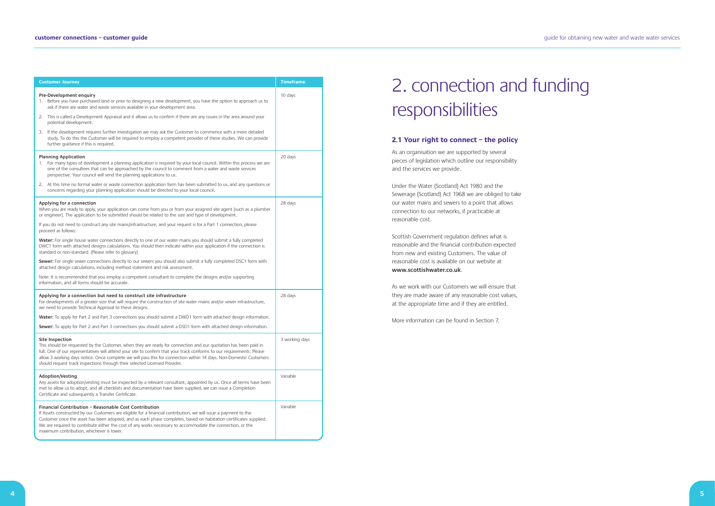guide for obtaining new water and waste water services

# 2. connection and funding responsibilities

#### **2.1 Your right to connect – the policy**

As an organisation we are supported by several pieces of legislation which outline our responsibility and the services we provide.

Under the Water (Scotland) Act 1980 and the Sewerage (Scotland) Act 1968 we are obliged to take our water mains and sewers to a point that allows connection to our networks, if practicable at reasonable cost.

Scottish Government regulation defines what is reasonable and the financial contribution expected from new and existing Customers. The value of reasonable cost is available on our website at **www.scottishwater.co.uk**.

As we work with our Customers we will ensure that they are made aware of any reasonable cost values, at the appropriate time and if they are entitled.

More information can be found in Section 7.

| <b>Customer Journey</b>                                                                                                                                                                                                                                                                                                                                                                                                                                          | <b>Timeframe</b> |
|------------------------------------------------------------------------------------------------------------------------------------------------------------------------------------------------------------------------------------------------------------------------------------------------------------------------------------------------------------------------------------------------------------------------------------------------------------------|------------------|
| Pre-Development enquiry<br>1. Before you have purchased land or prior to designing a new development, you have the option to approach us to<br>ask if there are water and waste services available in your development area.                                                                                                                                                                                                                                     | 10 days          |
| 2. This is called a Development Appraisal and it allows us to confirm if there are any issues in the area around your<br>potential development.                                                                                                                                                                                                                                                                                                                  |                  |
| 3. If the development requires further investigation we may ask the Customer to commence with a more detailed<br>study. To do this the Customer will be required to employ a competent provider of these studies. We can provide<br>further quidance if this is required.                                                                                                                                                                                        |                  |
| <b>Planning Application</b><br>1. For many types of development a planning application is required by your local council. Within this process we are<br>one of the consultees that can be approached by the council to comment from a water and waste services<br>perspective. Your council will send the planning applications to us.                                                                                                                           | 20 days          |
| 2. At this time no formal water or waste connection application form has been submitted to us, and any questions or<br>concerns regarding your planning application should be directed to your local council.                                                                                                                                                                                                                                                    |                  |
| Applying for a connection<br>When you are ready to apply, your application can come from you or from your assigned site agent (such as a plumber<br>or engineer). The application to be submitted should be related to the size and type of development.                                                                                                                                                                                                         | 28 days          |
| If you do not need to construct any site mains/infrastructure, and your request is for a Part 1 connection, please<br>proceed as follows:                                                                                                                                                                                                                                                                                                                        |                  |
| Water: For single house water connections directly to one of our water mains you should submit a fully completed<br>DWC1 form with attached designs calculations. You should then indicate within your application if the connection is<br>standard or non-standard. (Please refer to glossary)                                                                                                                                                                  |                  |
| Sewer: For single sewer connections directly to our sewers you should also submit a fully completed DSC1 form with<br>attached design calculations, including method statement and risk assessment.                                                                                                                                                                                                                                                              |                  |
| Note: It is recommended that you employ a competent consultant to complete the designs and/or supporting<br>information, and all forms should be accurate.                                                                                                                                                                                                                                                                                                       |                  |
| Applying for a connection but need to construct site infrastructure<br>For developments of a greater size that will require the construction of site water mains and/or sewer infrastructure,<br>we need to provide Technical Approval to these designs.                                                                                                                                                                                                         | 28 days          |
| Water: To apply for Part 2 and Part 3 connections you should submit a DWD1 form with attached design information.                                                                                                                                                                                                                                                                                                                                                |                  |
| Sewer: To apply for Part 2 and Part 3 connections you should submit a DSD1 form with attached design information.                                                                                                                                                                                                                                                                                                                                                |                  |
| Site Inspection<br>This should be requested by the Customer, when they are ready for connection and our quotation has been paid in<br>full. One of our representatives will attend your site to confirm that your track conforms to our requirements. Please<br>allow 3 working days notice. Once complete we will pass this for connection within 14 days. Non-Domestic Customers<br>should request track inspections through their selected Licensed Provider. | 3 working days   |
| Adoption/Vesting<br>Any assets for adoption/vesting must be inspected by a relevant consultant, appointed by us. Once all terms have been<br>met to allow us to adopt, and all checklists and documentation have been supplied, we can issue a Completion<br>Certificate and subsequently a Transfer Certificate.                                                                                                                                                | Variable         |
| Financial Contribution - Reasonable Cost Contribution<br>If Assets constructed by our Customers are eligible for a financial contribution, we will issue a payment to the<br>Customer once the asset has been adopted, and as each phase completes, based on habitation certificates supplied.<br>We are required to contribute either the cost of any works necessary to accommodate the connection, or the<br>maximum contribution, whichever is lower.        | Variable         |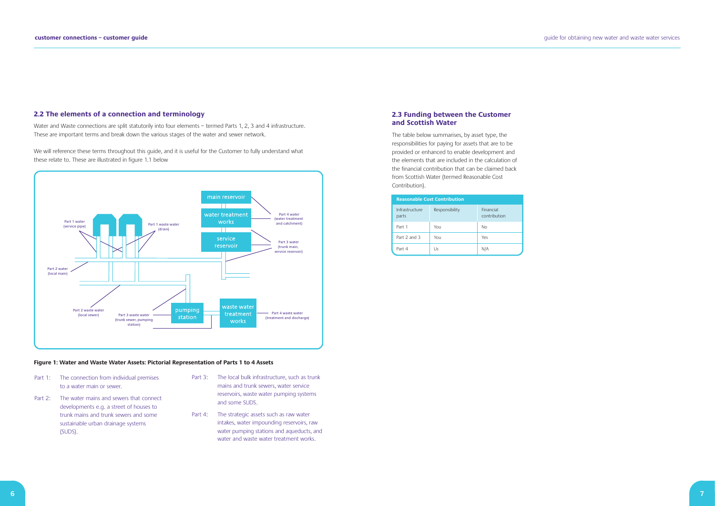### **2.3 Funding between the Customer and Scottish Water**

The table below summarises, by asset type, the responsibilities for paying for assets that are to be provided or enhanced to enable development and the elements that are included in the calculation of the financial contribution that can be claimed back from Scottish Water (termed Reasonable Cost Contribution).

guide for obtaining new water and waste water services

| <b>Reasonable Cost Contribution</b> |                |                           |
|-------------------------------------|----------------|---------------------------|
| Infrastructure<br>parts             | Responsibility | Financial<br>contribution |
| Part 1                              | You            | No                        |
| Part 2 and 3                        | You            | Yes                       |
| Part 4                              | Us             | N/A                       |

- Part 1: The connection from individual premises to a water main or sewer.
- Part 2: The water mains and sewers that connect developments e.g. a street of houses to trunk mains and trunk sewers and some sustainable urban drainage systems (SUDS).
- Part 3: The local bulk infrastructure, such as trunk mains and trunk sewers, water service reservoirs, waste water pumping systems and some SUDS.
- Part 4: The strategic assets such as raw water intakes, water impounding reservoirs, raw water pumping stations and aqueducts, and water and waste water treatment works.

Water and Waste connections are split statutorily into four elements - termed Parts 1, 2, 3 and 4 infrastructure. These are important terms and break down the various stages of the water and sewer network.

#### **2.2 The elements of a connection and terminology**

We will reference these terms throughout this guide, and it is useful for the Customer to fully understand what these relate to. These are illustrated in figure 1.1 below



#### **Figure 1: Water and Waste Water Assets: Pictorial Representation of Parts 1 to 4 Assets**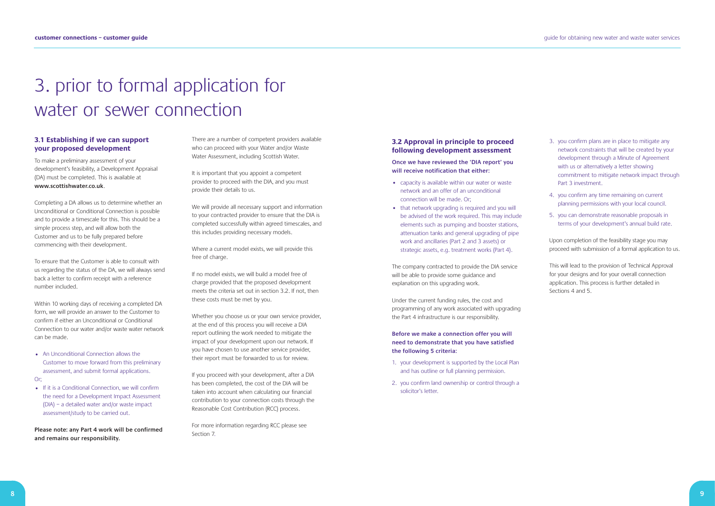# 3. prior to formal application for water or sewer connection

#### guide for obtaining new water and waste water services

### **3.1 Establishing if we can support your proposed development**

To make a preliminary assessment of your development's feasibility, a Development Appraisal (DA) must be completed. This is available at **www.scottishwater.co.uk**.

Completing a DA allows us to determine whether an Unconditional or Conditional Connection is possible and to provide a timescale for this. This should be a simple process step, and will allow both the Customer and us to be fully prepared before commencing with their development.

• If it is a Conditional Connection, we will confirm the need for a Development Impact Assessment (DIA) – a detailed water and/or waste impact assessment/study to be carried out.

To ensure that the Customer is able to consult with us regarding the status of the DA, we will always send back a letter to confirm receipt with a reference number included.

Within 10 working days of receiving a completed DA form, we will provide an answer to the Customer to confirm if either an Unconditional or Conditional Connection to our water and/or waste water network can be made.

• An Unconditional Connection allows the Customer to move forward from this preliminary assessment, and submit formal applications.

Or;

**Please note: any Part 4 work will be confirmed and remains our responsibility.** 

There are a number of competent providers available who can proceed with your Water and/or Waste Water Assessment, including Scottish Water.

It is important that you appoint a competent provider to proceed with the DIA, and you must provide their details to us.

We will provide all necessary support and information to your contracted provider to ensure that the DIA is completed successfully within agreed timescales, and this includes providing necessary models.

Where a current model exists, we will provide this free of charge.

If no model exists, we will build a model free of charge provided that the proposed development meets the criteria set out in section 3.2. If not, then these costs must be met by you.

Whether you choose us or your own service provider, at the end of this process you will receive a DIA report outlining the work needed to mitigate the impact of your development upon our network. If you have chosen to use another service provider, their report must be forwarded to us for review.

If you proceed with your development, after a DIA has been completed, the cost of the DIA will be taken into account when calculating our financial contribution to your connection costs through the Reasonable Cost Contribution (RCC) process.

For more information regarding RCC please see Section 7.

## **3.2 Approval in principle to proceed following development assessment**

**Once we have reviewed the 'DIA report' you will receive notification that either:**

- capacity is available within our water or waste network and an offer of an unconditional connection will be made. Or;
- that network upgrading is required and you will be advised of the work required. This may include elements such as pumping and booster stations, attenuation tanks and general upgrading of pipe work and ancillaries (Part 2 and 3 assets) or strategic assets, e.g. treatment works (Part 4).

The company contracted to provide the DIA service will be able to provide some guidance and explanation on this upgrading work.

Under the current funding rules, the cost and programming of any work associated with upgrading the Part 4 infrastructure is our responsibility.

**Before we make a connection offer you will need to demonstrate that you have satisfied the following 5 criteria:**

- 1. your development is supported by the Local Plan and has outline or full planning permission.
- 2. you confirm land ownership or control through a solicitor's letter.
- 3. you confirm plans are in place to mitigate any network constraints that will be created by your development through a Minute of Agreement with us or alternatively a letter showing commitment to mitigate network impact through Part 3 investment.
- 4. you confirm any time remaining on current planning permissions with your local council.
- 5. you can demonstrate reasonable proposals in terms of your development's annual build rate.

Upon completion of the feasibility stage you may proceed with submission of a formal application to us.

This will lead to the provision of Technical Approval for your designs and for your overall connection application. This process is further detailed in Sections 4 and 5.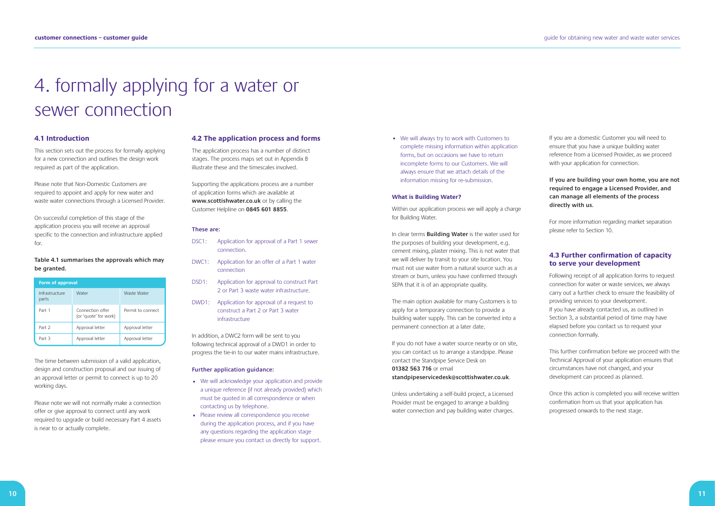# 4. formally applying for a water or sewer connection

#### **4.1 Introduction**

This section sets out the process for formally applying for a new connection and outlines the design work required as part of the application.

Please note that Non-Domestic Customers are required to appoint and apply for new water and waste water connections through a Licensed Provider.

On successful completion of this stage of the application process you will receive an approval specific to the connection and infrastructure applied for.

#### **Table 4.1 summarises the approvals which may be granted.**

The time between submission of a valid application, design and construction proposal and our issuing of an approval letter or permit to connect is up to 20 working days.

Please note we will not normally make a connection offer or give approval to connect until any work required to upgrade or build necessary Part 4 assets is near to or actually complete.

#### **4.2 The application process and forms**

The application process has a number of distinct stages. The process maps set out in Appendix B illustrate these and the timescales involved.

Supporting the applications process are a number of application forms which are available at **www.scottishwater.co.uk** or by calling the Customer Helpline on **0845 601 8855**.

#### **These are:**

- DSC1: Application for approval of a Part 1 sewer connection.
- DWC1: Application for an offer of a Part 1 water connection
- DSD1: Application for approval to construct Part 2 or Part 3 waste water infrastructure.
- DWD1: Application for approval of a request to construct a Part 2 or Part 3 water infrastructure

If you do not have a water source nearby or on site, you can contact us to arrange a standpipe. Please contact the Standpipe Service Desk on **01382 563 716** or email **standpipeservicedesk@scottishwater.co.uk**.

In addition, a DWC2 form will be sent to you following technical approval of a DWD1 in order to progress the tie-in to our water mains infrastructure.

#### **Further application guidance:**

- We will acknowledge your application and provide a unique reference (if not already provided) which must be quoted in all correspondence or when contacting us by telephone.
- Please review all correspondence you receive during the application process, and if you have any questions regarding the application stage please ensure you contact us directly for support.

• We will always try to work with Customers to complete missing information within application forms, but on occasions we have to return incomplete forms to our Customers. We will always ensure that we attach details of the information missing for re-submission.

#### **What is Building Water?**

Within our application process we will apply a charge for Building Water.

In clear terms **Building Water** is the water used for the purposes of building your development, e.g. cement mixing, plaster mixing. This is not water that we will deliver by transit to your site location. You must not use water from a natural source such as a stream or burn, unless you have confirmed through SEPA that it is of an appropriate quality.

The main option available for many Customers is to apply for a temporary connection to provide a building water supply. This can be converted into a permanent connection at a later date.

Unless undertaking a self-build project, a Licensed Provider must be engaged to arrange a building water connection and pay building water charges. If you are a domestic Customer you will need to ensure that you have a unique building water reference from a Licensed Provider, as we proceed with your application for connection.

### **If you are building your own home, you are not required to engage a Licensed Provider, and can manage all elements of the process directly with us.**

For more information regarding market separation please refer to Section 10.

## **4.3 Further confirmation of capacity to serve your development**

Following receipt of all application forms to request connection for water or waste services, we always carry out a further check to ensure the feasibility of providing services to your development. If you have already contacted us, as outlined in Section 3, a substantial period of time may have elapsed before you contact us to request your connection formally.

This further confirmation before we proceed with the Technical Approval of your application ensures that circumstances have not changed, and your development can proceed as planned.

Once this action is completed you will receive written confirmation from us that your application has progressed onwards to the next stage.

| <b>Form of approval</b> |                                           |                   |
|-------------------------|-------------------------------------------|-------------------|
| Infrastructure<br>parts | Water                                     | Waste Water       |
| Part 1                  | Connection offer<br>(or 'quote' for work) | Permit to connect |
| Part 2                  | Approval letter                           | Approval letter   |
| Part 3                  | Approval letter                           | Approval letter   |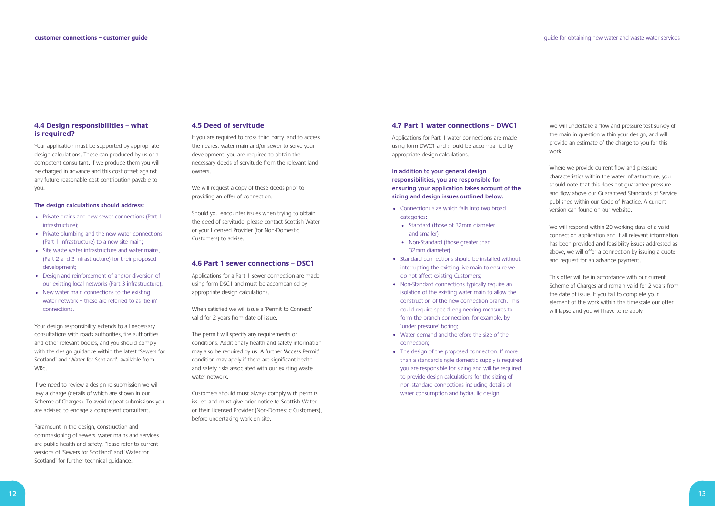### **4.4 Design responsibilities – what is required?**

Your application must be supported by appropriate design calculations. These can produced by us or a competent consultant. If we produce them you will be charged in advance and this cost offset against any future reasonable cost contribution payable to you.

#### **The design calculations should address:**

- Private drains and new sewer connections (Part 1 infrastructure);
- Private plumbing and the new water connections (Part 1 infrastructure) to a new site main;
- Site waste water infrastructure and water mains, (Part 2 and 3 infrastructure) for their proposed development;
- Design and reinforcement of and/or diversion of our existing local networks (Part 3 infrastructure);
- New water main connections to the existing water network – these are referred to as 'tie-in' connections.

Your design responsibility extends to all necessary consultations with roads authorities, fire authorities and other relevant bodies, and you should comply with the design guidance within the latest 'Sewers for Scotland' and 'Water for Scotland', available from WRc.

If we need to review a design re-submission we will levy a charge (details of which are shown in our Scheme of Charges). To avoid repeat submissions you are advised to engage a competent consultant.

Paramount in the design, construction and commissioning of sewers, water mains and services are public health and safety. Please refer to current versions of 'Sewers for Scotland' and 'Water for Scotland' for further technical guidance.

#### **4.5 Deed of servitude**

If you are required to cross third party land to access the nearest water main and/or sewer to serve your development, you are required to obtain the necessary deeds of servitude from the relevant land owners.

We will request a copy of these deeds prior to providing an offer of connection.

Should you encounter issues when trying to obtain the deed of servitude, please contact Scottish Water or your Licensed Provider (for Non-Domestic Customers) to advise.

#### **4.6 Part 1 sewer connections – DSC1**

Applications for a Part 1 sewer connection are made using form DSC1 and must be accompanied by appropriate design calculations.

When satisfied we will issue a 'Permit to Connect' valid for 2 years from date of issue.

The permit will specify any requirements or conditions. Additionally health and safety information may also be required by us. A further 'Access Permit' condition may apply if there are significant health and safety risks associated with our existing waste water network.

Customers should must always comply with permits issued and must give prior notice to Scottish Water or their Licensed Provider (Non-Domestic Customers), before undertaking work on site.

#### **4.7 Part 1 water connections – DWC1**

Applications for Part 1 water connections are made using form DWC1 and should be accompanied by appropriate design calculations.

**In addition to your general design responsibilities, you are responsible for ensuring your application takes account of the sizing and design issues outlined below.**

- Connections size which falls into two broad categories:
	- Standard (those of 32mm diameter and smaller)
	- Non-Standard (those greater than 32mm diameter)
- Standard connections should be installed without interrupting the existing live main to ensure we do not affect existing Customers;
- Non-Standard connections typically require an isolation of the existing water main to allow the construction of the new connection branch. This could require special engineering measures to form the branch connection, for example, by 'under pressure' boring;
- Water demand and therefore the size of the connection;
- The design of the proposed connection. If more than a standard single domestic supply is required you are responsible for sizing and will be required to provide design calculations for the sizing of non-standard connections including details of water consumption and hydraulic design.

We will undertake a flow and pressure test survey of the main in question within your design, and will provide an estimate of the charge to you for this work.

Where we provide current flow and pressure characteristics within the water infrastructure, you should note that this does not guarantee pressure and flow above our Guaranteed Standards of Service published within our Code of Practice. A current version can found on our website.

We will respond within 20 working days of a valid connection application and if all relevant information has been provided and feasibility issues addressed as above, we will offer a connection by issuing a quote and request for an advance payment.

This offer will be in accordance with our current Scheme of Charges and remain valid for 2 years from the date of issue. If you fail to complete your element of the work within this timescale our offer will lapse and you will have to re-apply.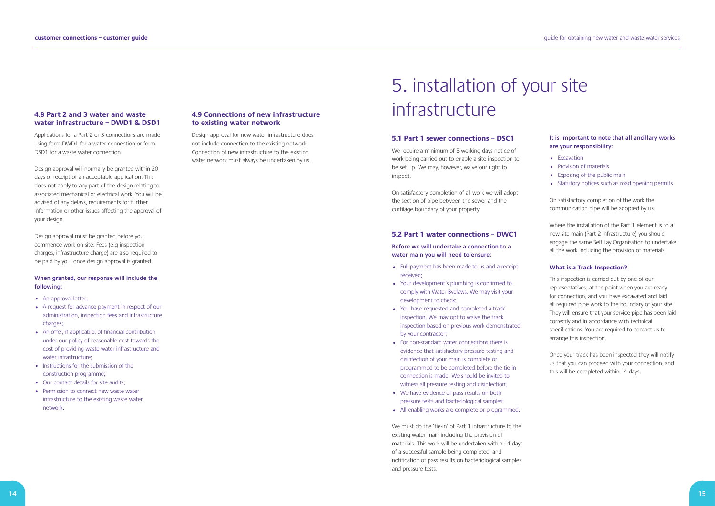#### **4.8 Part 2 and 3 water and waste water infrastructure – DWD1 & DSD1**

Applications for a Part 2 or 3 connections are made using form DWD1 for a water connection or form DSD1 for a waste water connection.

Design approval will normally be granted within 20 days of receipt of an acceptable application. This does not apply to any part of the design relating to associated mechanical or electrical work. You will be advised of any delays, requirements for further information or other issues affecting the approval of your design.

- An approval letter;
- A request for advance payment in respect of our administration, inspection fees and infrastructure charges;
- An offer, if applicable, of financial contribution under our policy of reasonable cost towards the cost of providing waste water infrastructure and water infrastructure;
- Instructions for the submission of the construction programme;
- Our contact details for site audits;
- Permission to connect new waste water infrastructure to the existing waste water network.

Design approval must be granted before you commence work on site. Fees (e.g inspection charges, infrastructure charge) are also required to be paid by you, once design approval is granted.

#### **When granted, our response will include the following:**

- Full payment has been made to us and a receipt received;
- Your development's plumbing is confirmed to comply with Water Byelaws. We may visit your development to check;
- You have requested and completed a track inspection. We may opt to waive the track inspection based on previous work demonstrated by your contractor;
- For non-standard water connections there is evidence that satisfactory pressure testing and disinfection of your main is complete or programmed to be completed before the tie-in connection is made. We should be invited to witness all pressure testing and disinfection;
- We have evidence of pass results on both pressure tests and bacteriological samples;
- All enabling works are complete or programmed.

#### **4.9 Connections of new infrastructure to existing water network**

Design approval for new water infrastructure does not include connection to the existing network. Connection of new infrastructure to the existing water network must always be undertaken by us.

> We must do the 'tie-in' of Part 1 infrastructure to the existing water main including the provision of materials. This work will be undertaken within 14 days of a successful sample being completed, and notification of pass results on bacteriological samples and pressure tests.

- Excavation
- Provision of materials
- Exposing of the public main
- Statutory notices such as road opening permits

# 5. installation of your site infrastructure

#### **5.1 Part 1 sewer connections – DSC1**

We require a minimum of 5 working days notice of work being carried out to enable a site inspection to be set up. We may, however, waive our right to inspect.

On satisfactory completion of all work we will adopt the section of pipe between the sewer and the curtilage boundary of your property.

#### **5.2 Part 1 water connections – DWC1**

### **Before we will undertake a connection to a water main you will need to ensure:**

### **It is important to note that all ancillary works are your responsibility:**

On satisfactory completion of the work the communication pipe will be adopted by us.

Where the installation of the Part 1 element is to a new site main (Part 2 infrastructure) you should engage the same Self Lay Organisation to undertake all the work including the provision of materials.

#### **What is a Track Inspection?**

This inspection is carried out by one of our representatives, at the point when you are ready for connection, and you have excavated and laid all required pipe work to the boundary of your site. They will ensure that your service pipe has been laid correctly and in accordance with technical specifications. You are required to contact us to arrange this inspection.

Once your track has been inspected they will notify us that you can proceed with your connection, and this will be completed within 14 days.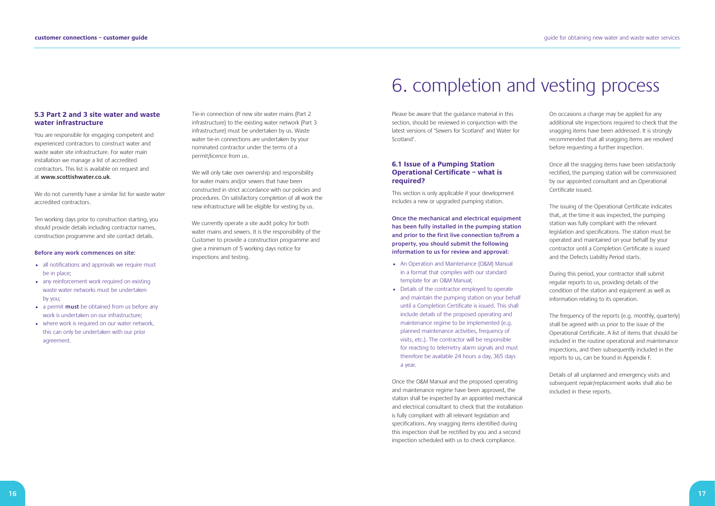### **5.3 Part 2 and 3 site water and waste water infrastructure**

We do not currently have a similar list for waste water accredited contractors.

You are responsible for engaging competent and experienced contractors to construct water and waste water site infrastructure. For water main installation we manage a list of accredited contractors. This list is available on request and at **www.scottishwater.co.uk**.

- all notifications and approvals we require must be in place;
- any reinforcement work required on existing waste water networks must be undertaken by you;
- a permit **must** be obtained from us before any work is undertaken on our infrastructure;
- where work is required on our water network, this can only be undertaken with our prior agreement.

Ten working days prior to construction starting, you should provide details including contractor names, construction programme and site contact details.

#### **Before any work commences on site:**

We will only take over ownership and responsibility for water mains and/or sewers that have been constructed in strict accordance with our policies and procedures. On satisfactory completion of all work the new infrastructure will be eligible for vesting by us.

We currently operate a site audit policy for both water mains and sewers. It is the responsibility of the Customer to provide a construction programme and give a minimum of 5 working days notice for inspections and testing.

Tie-in connection of new site water mains (Part 2 infrastructure) to the existing water network (Part 3 infrastructure) must be undertaken by us. Waste water tie-in connections are undertaken by your nominated contractor under the terms of a permit/licence from us.

# 6. completion and vesting process

Please be aware that the guidance material in this section, should be reviewed in conjunction with the latest versions of 'Sewers for Scotland' and Water for Scotland'.

### **6.1 Issue of a Pumping Station Operational Certificate – what is required?**

This section is only applicable if your development includes a new or upgraded pumping station.

**Once the mechanical and electrical equipment has been fully installed in the pumping station and prior to the first live connection to/from a property, you should submit the following information to us for review and approval:**

- An Operation and Maintenance (O&M) Manual in a format that complies with our standard template for an O&M Manual;
- Details of the contractor employed to operate and maintain the pumping station on your behalf until a Completion Certificate is issued. This shall include details of the proposed operating and maintenance regime to be implemented (e.g. planned maintenance activities, frequency of visits, etc.). The contractor will be responsible for reacting to telemetry alarm signals and must therefore be available 24 hours a day, 365 days a year.

Once the O&M Manual and the proposed operating and maintenance regime have been approved, the station shall be inspected by an appointed mechanical and electrical consultant to check that the installation is fully compliant with all relevant legislation and specifications. Any snagging items identified during this inspection shall be rectified by you and a second inspection scheduled with us to check compliance.

On occasions a charge may be applied for any additional site inspections required to check that the snagging items have been addressed. It is strongly recommended that all snagging items are resolved before requesting a further inspection.

Once all the snagging items have been satisfactorily rectified, the pumping station will be commissioned by our appointed consultant and an Operational Certificate issued.

The issuing of the Operational Certificate indicates that, at the time it was inspected, the pumping station was fully compliant with the relevant legislation and specifications. The station must be operated and maintained on your behalf by your contractor until a Completion Certificate is issued and the Defects Liability Period starts.

During this period, your contractor shall submit regular reports to us, providing details of the condition of the station and equipment as well as information relating to its operation.

The frequency of the reports (e.g. monthly, quarterly) shall be agreed with us prior to the issue of the Operational Certificate. A list of items that should be included in the routine operational and maintenance inspections, and then subsequently included in the reports to us, can be found in Appendix F.

Details of all unplanned and emergency visits and subsequent repair/replacement works shall also be included in these reports.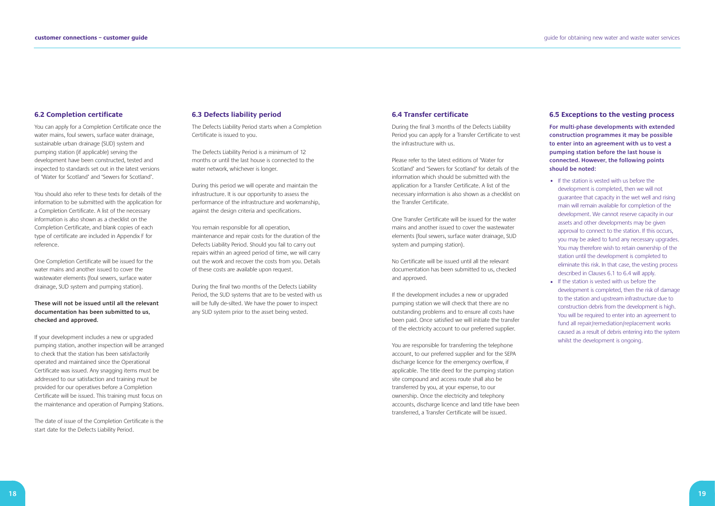#### **6.2 Completion certificate**

You can apply for a Completion Certificate once the water mains, foul sewers, surface water drainage, sustainable urban drainage (SUD) system and pumping station (if applicable) serving the development have been constructed, tested and inspected to standards set out in the latest versions of 'Water for Scotland' and 'Sewers for Scotland'.

You should also refer to these texts for details of the information to be submitted with the application for a Completion Certificate. A list of the necessary information is also shown as a checklist on the Completion Certificate, and blank copies of each type of certificate are included in Appendix F for reference.

One Completion Certificate will be issued for the water mains and another issued to cover the wastewater elements (foul sewers, surface water drainage, SUD system and pumping station).

### **These will not be issued until all the relevant documentation has been submitted to us, checked and approved.**

If your development includes a new or upgraded pumping station, another inspection will be arranged to check that the station has been satisfactorily operated and maintained since the Operational Certificate was issued. Any snagging items must be addressed to our satisfaction and training must be provided for our operatives before a Completion Certificate will be issued. This training must focus on the maintenance and operation of Pumping Stations.

The date of issue of the Completion Certificate is the start date for the Defects Liability Period.

#### **6.3 Defects liability period**

The Defects Liability Period starts when a Completion Certificate is issued to you.

The Defects Liability Period is a minimum of 12 months or until the last house is connected to the water network, whichever is longer.

During this period we will operate and maintain the infrastructure. It is our opportunity to assess the performance of the infrastructure and workmanship, against the design criteria and specifications.

You remain responsible for all operation, maintenance and repair costs for the duration of the Defects Liability Period. Should you fail to carry out repairs within an agreed period of time, we will carry out the work and recover the costs from you. Details of these costs are available upon request.

During the final two months of the Defects Liability Period, the SUD systems that are to be vested with us will be fully de-silted. We have the power to inspect any SUD system prior to the asset being vested.

#### **6.4 Transfer certificate**

During the final 3 months of the Defects Liability Period you can apply for a Transfer Certificate to vest the infrastructure with us.

Please refer to the latest editions of 'Water for Scotland' and 'Sewers for Scotland' for details of the information which should be submitted with the application for a Transfer Certificate. A list of the necessary information is also shown as a checklist on the Transfer Certificate.

One Transfer Certificate will be issued for the water mains and another issued to cover the wastewater elements (foul sewers, surface water drainage, SUD system and pumping station).

No Certificate will be issued until all the relevant documentation has been submitted to us, checked and approved.

If the development includes a new or upgraded pumping station we will check that there are no outstanding problems and to ensure all costs have been paid. Once satisfied we will initiate the transfer of the electricity account to our preferred supplier.

You are responsible for transferring the telephone account, to our preferred supplier and for the SEPA discharge licence for the emergency overflow, if applicable. The title deed for the pumping station site compound and access route shall also be transferred by you, at your expense, to our ownership. Once the electricity and telephony accounts, discharge licence and land title have been transferred, a Transfer Certificate will be issued.

### **6.5 Exceptions to the vesting process**

**For multi-phase developments with extended construction programmes it may be possible to enter into an agreement with us to vest a pumping station before the last house is connected. However, the following points should be noted:**

- If the station is vested with us before the development is completed, then we will not guarantee that capacity in the wet well and rising main will remain available for completion of the development. We cannot reserve capacity in our assets and other developments may be given approval to connect to the station. If this occurs, you may be asked to fund any necessary upgrades. You may therefore wish to retain ownership of the station until the development is completed to eliminate this risk. In that case, the vesting process described in Clauses 6.1 to 6.4 will apply.
- If the station is vested with us before the development is completed, then the risk of damage to the station and upstream infrastructure due to construction debris from the development is high. You will be required to enter into an agreement to fund all repair/remediation/replacement works caused as a result of debris entering into the system whilst the development is ongoing.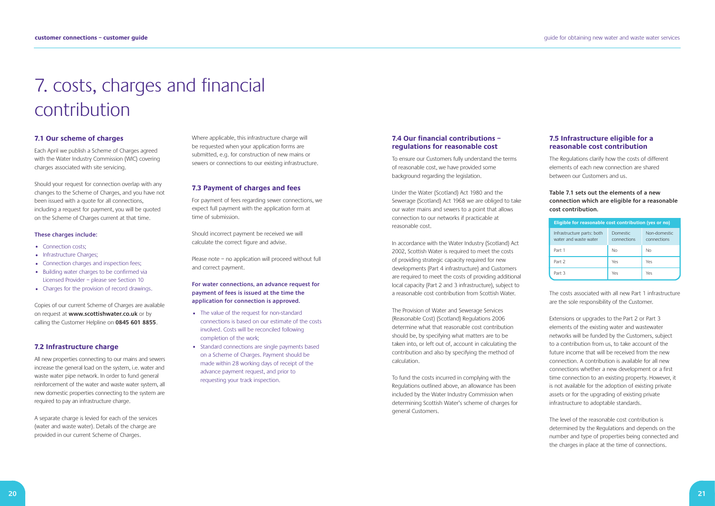# 7. costs, charges and financial contribution

#### **7.1 Our scheme of charges**

Each April we publish a Scheme of Charges agreed with the Water Industry Commission (WIC) covering charges associated with site servicing.

- Connection costs;
- Infrastructure Charges;
- Connection charges and inspection fees;
- Building water charges to be confirmed via Licensed Provider – please see Section 10
- Charges for the provision of record drawings.

Should your request for connection overlap with any changes to the Scheme of Charges, and you have not been issued with a quote for all connections, including a request for payment, you will be quoted on the Scheme of Charges current at that time.

#### **These charges include:**

Copies of our current Scheme of Charges are available on request at **www.scottishwater.co.uk** or by calling the Customer Helpline on **0845 601 8855**.

### **7.2 Infrastructure charge**

All new properties connecting to our mains and sewers increase the general load on the system, i.e. water and waste water pipe network. In order to fund general reinforcement of the water and waste water system, all new domestic properties connecting to the system are required to pay an infrastructure charge.

A separate charge is levied for each of the services (water and waste water). Details of the charge are provided in our current Scheme of Charges.

Where applicable, this infrastructure charge will be requested when your application forms are submitted, e.g. for construction of new mains or sewers or connections to our existing infrastructure.

#### **7.3 Payment of charges and fees**

For payment of fees regarding sewer connections, we expect full payment with the application form at time of submission.

Should incorrect payment be received we will calculate the correct figure and advise.

Please note – no application will proceed without full and correct payment.

#### **For water connections, an advance request for payment of fees is issued at the time the application for connection is approved.**

- The value of the request for non-standard connections is based on our estimate of the costs involved. Costs will be reconciled following completion of the work;
- Standard connections are single payments based on a Scheme of Charges. Payment should be made within 28 working days of receipt of the advance payment request, and prior to requesting your track inspection.

#### **7.4 Our financial contributions – regulations for reasonable cost**

To ensure our Customers fully understand the terms of reasonable cost, we have provided some background regarding the legislation.

Under the Water (Scotland) Act 1980 and the Sewerage (Scotland) Act 1968 we are obliged to take our water mains and sewers to a point that allows connection to our networks if practicable at reasonable cost.

In accordance with the Water Industry (Scotland) Act 2002, Scottish Water is required to meet the costs of providing strategic capacity required for new developments (Part 4 infrastructure) and Customers are required to meet the costs of providing additional local capacity (Part 2 and 3 infrastructure), subject to a reasonable cost contribution from Scottish Water.

The Provision of Water and Sewerage Services (Reasonable Cost) (Scotland) Regulations 2006 determine what that reasonable cost contribution should be, by specifying what matters are to be taken into, or left out of, account in calculating the contribution and also by specifying the method of calculation.

To fund the costs incurred in complying with the Regulations outlined above, an allowance has been included by the Water Industry Commission when determining Scottish Water's scheme of charges for general Customers.

# **7.5 Infrastructure eligible for a reasonable cost contribution**

The Regulations clarify how the costs of different elements of each new connection are shared between our Customers and us.

### **Table 7.1 sets out the elements of a new connection which are eligible for a reasonable cost contribution.**

The costs associated with all new Part 1 infrastructure are the sole responsibility of the Customer.

Extensions or upgrades to the Part 2 or Part 3 elements of the existing water and wastewater networks will be funded by the Customers, subject to a contribution from us, to take account of the future income that will be received from the new connection. A contribution is available for all new connections whether a new development or a first time connection to an existing property. However, it is not available for the adoption of existing private assets or for the upgrading of existing private infrastructure to adoptable standards.

The level of the reasonable cost contribution is determined by the Regulations and depends on the number and type of properties being connected and the charges in place at the time of connections.

| Eligible for reasonable cost contribution (yes or no) |                                |                             |
|-------------------------------------------------------|--------------------------------|-----------------------------|
| Infrastructure parts: both<br>water and waste water   | <b>Domestic</b><br>connections | Non-domestic<br>connections |
| Part 1                                                | Nο                             | No                          |
| Part 2                                                | Yes                            | Yes                         |
| Part 3                                                | Yes                            | Yes                         |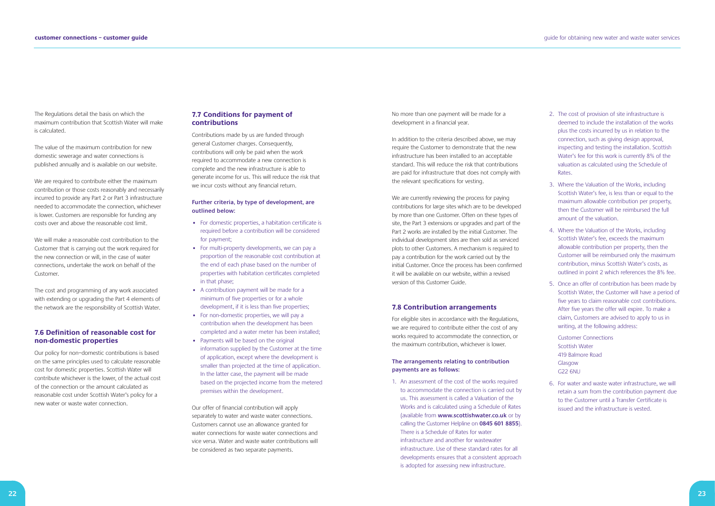The Regulations detail the basis on which the maximum contribution that Scottish Water will make is calculated.

The value of the maximum contribution for new domestic sewerage and water connections is published annually and is available on our website.

We are required to contribute either the maximum contribution or those costs reasonably and necessarily incurred to provide any Part 2 or Part 3 infrastructure needed to accommodate the connection, whichever is lower. Customers are responsible for funding any costs over and above the reasonable cost limit.

We will make a reasonable cost contribution to the Customer that is carrying out the work required for the new connection or will, in the case of water connections, undertake the work on behalf of the Customer.

The cost and programming of any work associated with extending or upgrading the Part 4 elements of the network are the responsibility of Scottish Water.

# **7.6 Definition of reasonable cost for non-domestic properties**

Our policy for non–domestic contributions is based on the same principles used to calculate reasonable cost for domestic properties. Scottish Water will contribute whichever is the lower, of the actual cost of the connection or the amount calculated as reasonable cost under Scottish Water's policy for a new water or waste water connection.

#### **7.7 Conditions for payment of contributions**

Contributions made by us are funded through general Customer charges. Consequently, contributions will only be paid when the work required to accommodate a new connection is complete and the new infrastructure is able to generate income for us. This will reduce the risk that we incur costs without any financial return.

#### **Further criteria, by type of development, are outlined below:**

We are currently reviewing the process for paying contributions for large sites which are to be developed by more than one Customer. Often on these types of site, the Part 3 extensions or upgrades and part of the Part 2 works are installed by the initial Customer. The individual development sites are then sold as serviced plots to other Customers. A mechanism is required to pay a contribution for the work carried out by the initial Customer. Once the process has been confirmed it will be available on our website, within a revised version of this Customer Guide.

- For domestic properties, a habitation certificate is required before a contribution will be considered for payment;
- For multi-property developments, we can pay a proportion of the reasonable cost contribution at the end of each phase based on the number of properties with habitation certificates completed in that phase;
- A contribution payment will be made for a minimum of five properties or for a whole development, if it is less than five properties;
- For non-domestic properties, we will pay a contribution when the development has been completed and a water meter has been installed;
- Payments will be based on the original information supplied by the Customer at the time of application, except where the development is smaller than projected at the time of application. In the latter case, the payment will be made based on the projected income from the metered premises within the development.

Our offer of financial contribution will apply separately to water and waste water connections. Customers cannot use an allowance granted for water connections for waste water connections and vice versa. Water and waste water contributions will be considered as two separate payments.

No more than one payment will be made for a development in a financial year.

In addition to the criteria described above, we may require the Customer to demonstrate that the new infrastructure has been installed to an acceptable standard. This will reduce the risk that contributions are paid for infrastructure that does not comply with the relevant specifications for vesting.

#### **7.8 Contribution arrangements**

For eligible sites in accordance with the Regulations, we are required to contribute either the cost of any works required to accommodate the connection, or the maximum contribution, whichever is lower.

#### **The arrangements relating to contribution payments are as follows:**

1. An assessment of the cost of the works required to accommodate the connection is carried out by us. This assessment is called a Valuation of the Works and is calculated using a Schedule of Rates (available from **www.scottishwater.co.uk** or by calling the Customer Helpline on **0845 601 8855**). There is a Schedule of Rates for water infrastructure and another for wastewater infrastructure. Use of these standard rates for all developments ensures that a consistent approach is adopted for assessing new infrastructure.

- 2. The cost of provision of site infrastructure is deemed to include the installation of the works plus the costs incurred by us in relation to the connection, such as giving design approval, inspecting and testing the installation. Scottish Water's fee for this work is currently 8% of the valuation as calculated using the Schedule of Rates.
- 3. Where the Valuation of the Works, including Scottish Water's fee, is less than or equal to the maximum allowable contribution per property, then the Customer will be reimbursed the full amount of the valuation.
- 4. Where the Valuation of the Works, including Scottish Water's fee, exceeds the maximum allowable contribution per property, then the Customer will be reimbursed only the maximum contribution, minus Scottish Water's costs, as outlined in point 2 which references the 8% fee.
- 5. Once an offer of contribution has been made by Scottish Water, the Customer will have a period of five years to claim reasonable cost contributions. After five years the offer will expire. To make a claim, Customers are advised to apply to us in writing, at the following address:

Customer Connections Scottish Water 419 Balmore Road Glasgow G22 6NU

6. For water and waste water infrastructure, we will retain a sum from the contribution payment due to the Customer until a Transfer Certificate is issued and the infrastructure is vested.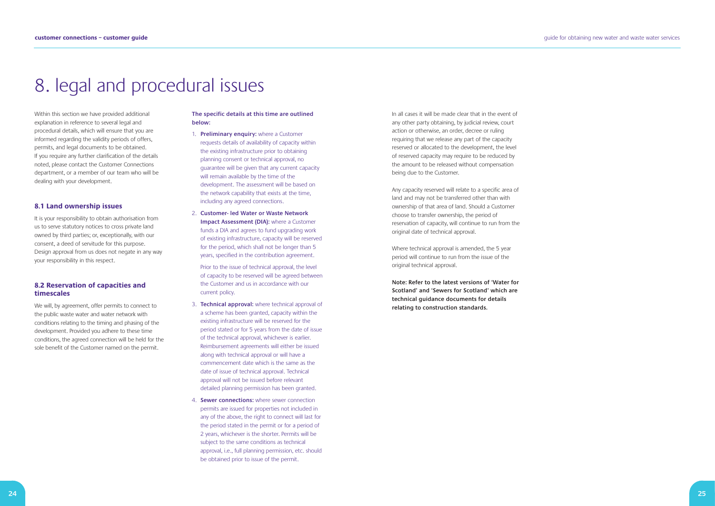# 8. legal and procedural issues

Within this section we have provided additional explanation in reference to several legal and procedural details, which will ensure that you are informed regarding the validity periods of offers, permits, and legal documents to be obtained. If you require any further clarification of the details noted, please contact the Customer Connections department, or a member of our team who will be dealing with your development.

#### **8.1 Land ownership issues**

It is your responsibility to obtain authorisation from us to serve statutory notices to cross private land owned by third parties; or, exceptionally, with our consent, a deed of servitude for this purpose. Design approval from us does not negate in any way your responsibility in this respect.

#### **8.2 Reservation of capacities and timescales**

We will, by agreement, offer permits to connect to the public waste water and water network with conditions relating to the timing and phasing of the development. Provided you adhere to these time conditions, the agreed connection will be held for the sole benefit of the Customer named on the permit.

#### **The specific details at this time are outlined below:**

- 1. **Preliminary enquiry:** where a Customer requests details of availability of capacity within the existing infrastructure prior to obtaining planning consent or technical approval, no guarantee will be given that any current capacity will remain available by the time of the development. The assessment will be based on the network capability that exists at the time, including any agreed connections.
- 2. **Customer- led Water or Waste Network Impact Assessment (DIA):** where a Customer funds a DIA and agrees to fund upgrading work of existing infrastructure, capacity will be reserved for the period, which shall not be longer than 5 years, specified in the contribution agreement.

Prior to the issue of technical approval, the level of capacity to be reserved will be agreed between the Customer and us in accordance with our current policy.

- 3. **Technical approval:** where technical approval of a scheme has been granted, capacity within the existing infrastructure will be reserved for the period stated or for 5 years from the date of issue of the technical approval, whichever is earlier. Reimbursement agreements will either be issued along with technical approval or will have a commencement date which is the same as the date of issue of technical approval. Technical approval will not be issued before relevant detailed planning permission has been granted.
- 4. **Sewer connections:** where sewer connection permits are issued for properties not included in any of the above, the right to connect will last for the period stated in the permit or for a period of 2 years, whichever is the shorter. Permits will be subject to the same conditions as technical approval, i.e., full planning permission, etc. should be obtained prior to issue of the permit.

In all cases it will be made clear that in the event of any other party obtaining, by judicial review, court action or otherwise, an order, decree or ruling requiring that we release any part of the capacity reserved or allocated to the development, the level of reserved capacity may require to be reduced by the amount to be released without compensation being due to the Customer.

Any capacity reserved will relate to a specific area of land and may not be transferred other than with ownership of that area of land. Should a Customer choose to transfer ownership, the period of reservation of capacity, will continue to run from the original date of technical approval.

Where technical approval is amended, the 5 year period will continue to run from the issue of the original technical approval.

**Note: Refer to the latest versions of 'Water for Scotland' and 'Sewers for Scotland' which are technical guidance documents for details relating to construction standards.**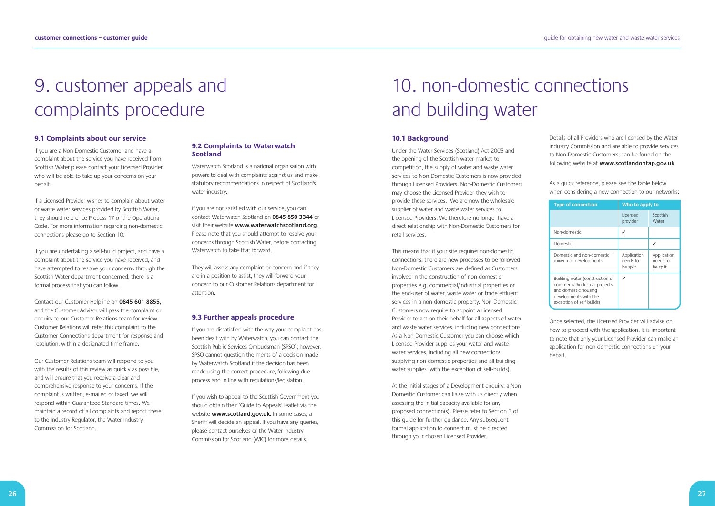# 9. customer appeals and complaints procedure

#### **9.1 Complaints about our service**

If you are a Non-Domestic Customer and have a complaint about the service you have received from Scottish Water please contact your Licensed Provider, who will be able to take up your concerns on your behalf.

If a Licensed Provider wishes to complain about water or waste water services provided by Scottish Water, they should reference Process 17 of the Operational Code. For more information regarding non-domestic connections please go to Section 10.

If you are undertaking a self-build project, and have a complaint about the service you have received, and have attempted to resolve your concerns through the Scottish Water department concerned, there is a formal process that you can follow.

Contact our Customer Helpline on **0845 601 8855**, and the Customer Advisor will pass the complaint or enquiry to our Customer Relations team for review. Customer Relations will refer this complaint to the Customer Connections department for response and resolution, within a designated time frame.

If you are not satisfied with our service, you can contact Waterwatch Scotland on **0845 850 3344** or visit their website **www.waterwatchscotland.org**. Please note that you should attempt to resolve your concerns through Scottish Water, before contacting Waterwatch to take that forward.

Our Customer Relations team will respond to you with the results of this review as quickly as possible, and will ensure that you receive a clear and comprehensive response to your concerns. If the complaint is written, e-mailed or faxed, we will respond within Guaranteed Standard times. We maintain a record of all complaints and report these to the Industry Regulator, the Water Industry Commission for Scotland.

If you wish to appeal to the Scottish Government you should obtain their 'Guide to Appeals' leaflet via the website **www.scotland.gov.uk.** In some cases, a Sheriff will decide an appeal. If you have any queries, please contact ourselves or the Water Industry Commission for Scotland (WIC) for more details.

### **9.2 Complaints to Waterwatch Scotland**

Waterwatch Scotland is a national organisation with powers to deal with complaints against us and make statutory recommendations in respect of Scotland's water industry.

They will assess any complaint or concern and if they are in a position to assist, they will forward your concern to our Customer Relations department for attention.

#### **9.3 Further appeals procedure**

If you are dissatisfied with the way your complaint has been dealt with by Waterwatch, you can contact the Scottish Public Services Ombudsman (SPSO); however, SPSO cannot question the merits of a decision made by Waterwatch Scotland if the decision has been made using the correct procedure, following due process and in line with regulations/legislation.

# 10. non-domestic connections and building water

#### **10.1 Background**

Under the Water Services (Scotland) Act 2005 and the opening of the Scottish water market to competition, the supply of water and waste water services to Non-Domestic Customers is now provided through Licensed Providers. Non-Domestic Customers may choose the Licensed Provider they wish to provide these services. We are now the wholesale supplier of water and waste water services to Licensed Providers. We therefore no longer have a direct relationship with Non-Domestic Customers for retail services.

This means that if your site requires non-domestic connections, there are new processes to be followed. Non-Domestic Customers are defined as Customers involved in the construction of non-domestic properties e.g. commercial/industrial properties or the end-user of water, waste water or trade effluent services in a non-domestic property. Non-Domestic Customers now require to appoint a Licensed Provider to act on their behalf for all aspects of water and waste water services, including new connections. As a Non-Domestic Customer you can choose which Licensed Provider supplies your water and waste water services, including all new connections supplying non-domestic properties and all building water supplies (with the exception of self-builds).

At the initial stages of a Development enquiry, a Non-Domestic Customer can liaise with us directly when assessing the initial capacity available for any proposed connection(s). Please refer to Section 3 of this guide for further guidance. Any subsequent formal application to connect must be directed through your chosen Licensed Provider.

Details of all Providers who are licensed by the Water Industry Commission and are able to provide services to Non-Domestic Customers, can be found on the following website at **www.scotlandontap.gov.uk**

As a quick reference, please see the table below when considering a new connection to our networks:

Once selected, the Licensed Provider will advise on how to proceed with the application. It is important to note that only your Licensed Provider can make an application for non-domestic connections on your behalf.

| <b>Type of connection</b>                                                                                                                       | Who to apply to                     |                                     |
|-------------------------------------------------------------------------------------------------------------------------------------------------|-------------------------------------|-------------------------------------|
|                                                                                                                                                 | Licensed<br>provider                | Scottish<br>Water                   |
| Non-domestic                                                                                                                                    |                                     |                                     |
| Domestic                                                                                                                                        |                                     |                                     |
| Domestic and non-domestic -<br>mixed use developments                                                                                           | Application<br>needs to<br>be split | Application<br>needs to<br>be split |
| Building water (construction of<br>commercial/industrial projects<br>and domestic housing<br>developments with the<br>exception of self builds) |                                     |                                     |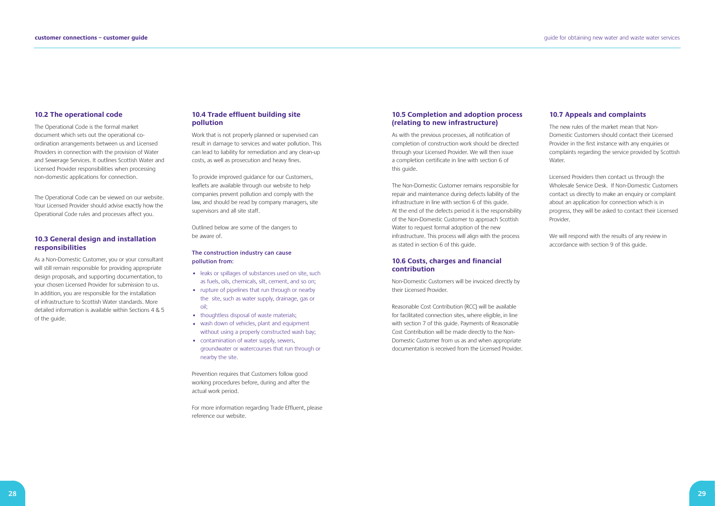#### **10.2 The operational code**

The Operational Code is the formal market document which sets out the operational coordination arrangements between us and Licensed Providers in connection with the provision of Water and Sewerage Services. It outlines Scottish Water and Licensed Provider responsibilities when processing non-domestic applications for connection.

The Operational Code can be viewed on our website. Your Licensed Provider should advise exactly how the Operational Code rules and processes affect you.

### **10.3 General design and installation responsibilities**

As a Non-Domestic Customer, you or your consultant will still remain responsible for providing appropriate design proposals, and supporting documentation, to your chosen Licensed Provider for submission to us. In addition, you are responsible for the installation of infrastructure to Scottish Water standards. More detailed information is available within Sections 4 & 5 of the guide.

- leaks or spillages of substances used on site, such as fuels, oils, chemicals, silt, cement, and so on;
- rupture of pipelines that run through or nearby the site, such as water supply, drainage, gas or oil;
- thoughtless disposal of waste materials;
- wash down of vehicles, plant and equipment without using a properly constructed wash bay;
- contamination of water supply, sewers, groundwater or watercourses that run through or nearby the site.

#### **10.4 Trade effluent building site pollution**

Work that is not properly planned or supervised can result in damage to services and water pollution. This can lead to liability for remediation and any clean-up costs, as well as prosecution and heavy fines.

To provide improved guidance for our Customers, leaflets are available through our website to help companies prevent pollution and comply with the law, and should be read by company managers, site supervisors and all site staff.

Outlined below are some of the dangers to be aware of.

#### **The construction industry can cause pollution from:**

Prevention requires that Customers follow good working procedures before, during and after the actual work period.

For more information regarding Trade Effluent, please reference our website.

#### **10.5 Completion and adoption process (relating to new infrastructure)**

As with the previous processes, all notification of completion of construction work should be directed through your Licensed Provider. We will then issue a completion certificate in line with section 6 of this guide.

The Non-Domestic Customer remains responsible for repair and maintenance during defects liability of the infrastructure in line with section 6 of this guide. At the end of the defects period it is the responsibility of the Non-Domestic Customer to approach Scottish Water to request formal adoption of the new infrastructure. This process will align with the process as stated in section 6 of this guide.

#### **10.6 Costs, charges and financial contribution**

Non-Domestic Customers will be invoiced directly by their Licensed Provider.

Reasonable Cost Contribution (RCC) will be available for facilitated connection sites, where eligible, in line with section 7 of this guide. Payments of Reasonable Cost Contribution will be made directly to the Non-Domestic Customer from us as and when appropriate documentation is received from the Licensed Provider.

# **10.7 Appeals and complaints**

The new rules of the market mean that Non-Domestic Customers should contact their Licensed Provider in the first instance with any enquiries or complaints regarding the service provided by Scottish Water.

Licensed Providers then contact us through the Wholesale Service Desk. If Non-Domestic Customers contact us directly to make an enquiry or complaint about an application for connection which is in progress, they will be asked to contact their Licensed Provider.

We will respond with the results of any review in accordance with section 9 of this guide.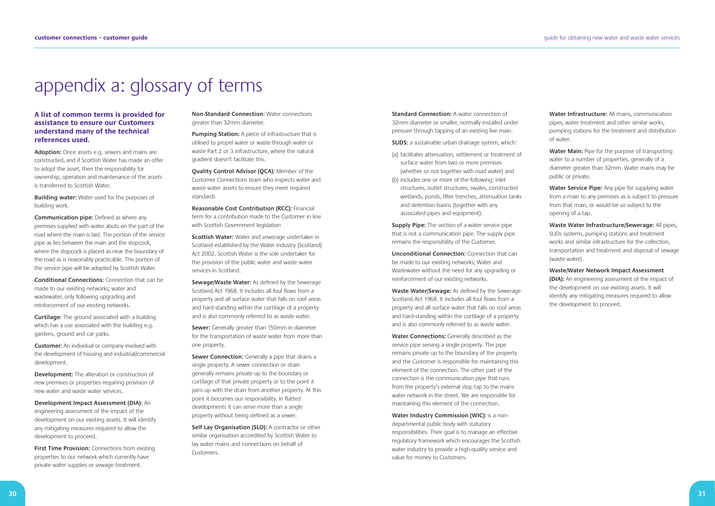# appendix a: glossary of terms

### **A list of common terms is provided for assistance to ensure our Customers understand many of the technical references used.**

**Adoption:** Once assets e.g. sewers and mains are constructed, and if Scottish Water has made an offer to adopt the asset, then the responsibility for ownership, operation and maintenance of the assets is transferred to Scottish Water.

**Building water:** Water used for the purposes of building work.

**Communication pipe:** Defined as where any premises supplied with water abuts on the part of the road where the main is laid. The portion of the service pipe as lies between the main and the stopcock, where the stopcock is placed as near the boundary of the road as is reasonably practicable. This portion of the service pipe will be adopted by Scottish Water.

**First Time Provision:** Connections from existing properties to our network which currently have private water supplies or sewage treatment.

**Conditional Connections:** Connection that can be made to our existing networks; water and wastewater, only following upgrading and reinforcement of our existing networks.

**Curtilage:** The ground associated with a building which has a use associated with the building e.g. gardens, ground and car parks.

**Customer:** An individual or company involved with the development of housing and industrial/commercial development.

**Development:** The alteration or construction of new premises or properties requiring provision of new water and waste water services.

**Development Impact Assessment (DIA):** An engineering assessment of the impact of the development on our existing assets. It will identify any mitigating measures required to allow the development to proceed.

**Sewer Connection:** Generally a pipe that drains a single property. A sewer connection or drain generally remains private up to the boundary or curtilage of that private property or to the point it joins up with the drain from another property. At this point it becomes our responsibility. In flatted developments it can serve more than a single property without being defined as a sewer.

Self Lay Organisation (SLO): A contractor or other similar organisation accredited by Scottish Water to lay water mains and connections on behalf of Customers.

**Non-Standard Connection:** Water connections greater than 32mm diameter.

**Pumping Station:** A piece of infrastructure that is utilised to propel water or waste through water or waste Part 2 or 3 infrastructure, where the natural gradient doesn't facilitate this.

**Quality Control Advisor (QCA):** Member of the Customer Connections team who inspects water and waste water assets to ensure they meet required standards

**Reasonable Cost Contribution (RCC):** Financial term for a contribution made to the Customer in line with Scottish Government legislation

**Scottish Water:** Water and sewerage undertaker in Scotland established by the Water Industry (Scotland) Act 2002. Scottish Water is the sole undertaker for the provision of the public water and waste water services in Scotland.

**Sewage/Waste Water:** As defined by the Sewerage Scotland Act 1968. It includes all foul flows from a property and all surface water that falls on roof areas and hard-standing within the curtilage of a property and is also commonly referred to as waste water.

**Sewer:** Generally greater than 150mm in diameter for the transportation of waste water from more than one property.

**Standard Connection:** A water connection of 32mm diameter or smaller, normally installed under pressure through tapping of an existing live main.

**SUDS:** a sustainable urban drainage system, which:

- (a) facilitates attenuation, settlement or treatment of surface water from two or more premises (whether or not together with road water) and
- (b) includes one or more of the following: inlet structures, outlet structures, swales, constructed wetlands, ponds, filter trenches, attenuation tanks and detention basins (together with any associated pipes and equipment).

**Supply Pipe:** The section of a water service pipe that is not a communication pipe. The supply pipe remains the responsibility of the Customer.

**Unconditional Connection:** Connection that can be made to our existing networks; Water and Wastewater without the need for any upgrading or reinforcement of our existing networks.

**Waste Water/Sewage:** As defined by the Sewerage Scotland Act 1968. It includes all foul flows from a property and all surface water that falls on roof areas and hard-standing within the curtilage of a property and is also commonly referred to as waste water.

**Water Connections:** Generally described as the service pipe serving a single property. The pipe remains private up to the boundary of the property and the Customer is responsible for maintaining this element of the connection. The other part of the connection is the communication pipe that runs from the property's external stop tap to the mains water network in the street. We are responsible for maintaining this element of the connection.

**Water Industry Commission (WIC):** is a nondepartmental public body with statutory responsibilities. Their goal is to manage an effective regulatory framework which encourages the Scottish water industry to provide a high-quality service and value for money to Customers.

**Water Infrastructure:** All mains, communication pipes, water treatment and other similar works, pumping stations for the treatment and distribution of water.

**Water Main:** Pipe for the purpose of transporting water to a number of properties, generally of a diameter greater than 32mm. Water mains may be public or private.

**Water Service Pipe:** Any pipe for supplying water from a main to any premises as is subject to pressure from that main, or would be so subject to the opening of a tap.

**Waste Water Infrastructure/Sewerage:** All pipes, SUDs systems, pumping stations and treatment works and similar infrastructure for the collection, transportation and treatment and disposal of sewage (waste water).

**Waste/Water Network Impact Assessment (DIA):** An engineering assessment of the impact of the development on our existing assets. It will identify any mitigating measures required to allow the development to proceed.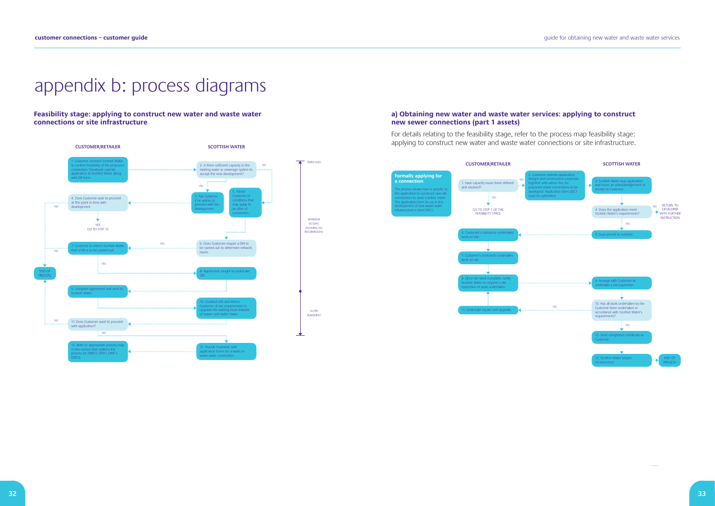guide for obtaining new water and waste water services

# appendix b: process diagrams

MAXIMUM 60 DAYS ASSUMING NO RESUBMISSIONS

**Feasibility stage: applying to construct new water and waste water connections or site infrastructure**



TIMESCALES

AS PER AGREEMENT

 $\bullet$ 

### **a) Obtaining new water and waste water services: applying to construct new sewer connections (part 1 assets)**

For details relating to the feasibility stage, refer to the process map feasibility stage: applying to construct new water and waste water connections or site infrastructure.

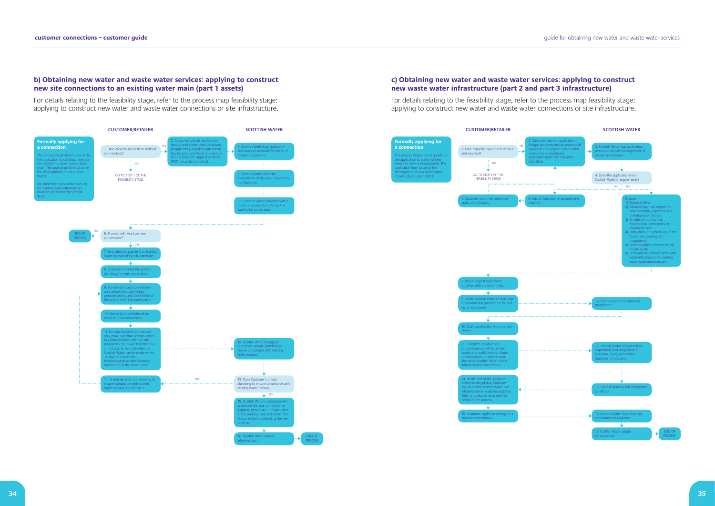### **b) Obtaining new water and waste water services: applying to construct new site connections to an existing water main (part 1 assets)**

For details relating to the feasibility stage, refer to the process map feasibility stage: applying to construct new water and waste water connections or site infrastructure.

#### $\overline{\mathbf{v}}$ nottish Water adopts infrastructure.

#### **CUSTOMER/RETAILER SCOTTISH WATER Formally applying for** er submits application designs and construction proposals **a connection** YES **Cottish Water logs application** if applicable), together with admin 1. Have capacity issues been defined and resolved? and issues an acknowledgement of fee, for proposed water connections to be developed. Application form The process shown here is specific receipt to Customer. the application to construct new site connections to serve a public water VC1 must be submitted. NO main. The application form to use in e development of new is form GO TO STEP 1 OF THE Scottish Water will make DWC1. nents of the work red FEASIBILITY STAGE the Customer. All connection work undertaken on the existing water infrastructure must be undertaken by Scottish Water. 5. Customer will be provided with a quote or connection offer for the work to be undertaken. NO 6. Proceed with work on new END OF connections? PROCESS YES nd advance payment to Scottish If work they will underta ÷ tomer to complete private mbing for new connections.  $\vec{v}$ 9. For non-standard connections only, ensure that satisfactory essure testing and disinfection of e private main has taken place.  $\ddot{\bullet}$ **Ivise Scottish Water when** ady for final connections.  $\frac{1}{2}$ For non-standard connection nly, make sure that Scottish Wate has been provided with the site programme to ensure that the final . Scottish Water to inspe Customer's private plumbing to ensure compliance with existing ction to be undertaken by cottish Water can be made withir Water Byelaws. 14 days of a successful teriological sample following ection of the private main. NO 13. Does Customer's private 14. Undertake work on plumbing to ensure compliance with current Water Byelaws. Go to step 9. plumbing to ensure compliance with existing Water Byelaws. **YES** Scottish Water's contractor will undertake the final connection or 'tapping' of the Part 1 infrastructure existing main and inform the er before attending the site to do so.



# **c) Obtaining new water and waste water services: applying to construct new waste water infrastructure (part 2 and part 3 infrastructure)**

For details relating to the feasibility stage, refer to the process map feasibility stage: applying to construct new water and waste water connections or site infrastructure.

#### **CUSTOMER/RETAILER SCOTTISH WATER**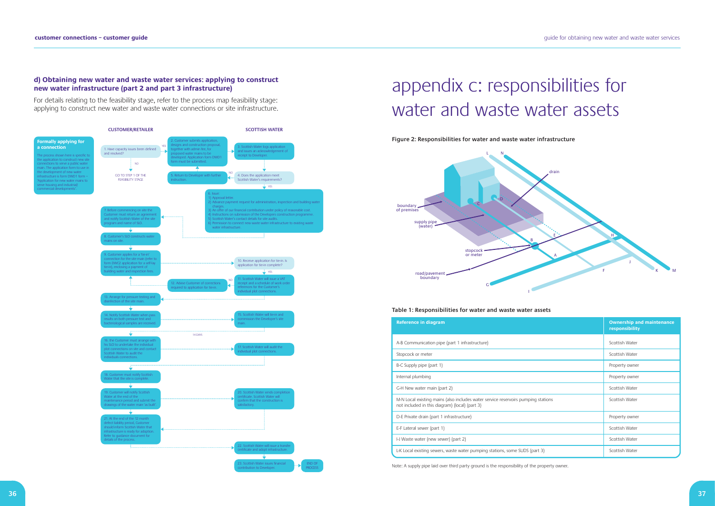### **d) Obtaining new water and waste water services: applying to construct new water infrastructure (part 2 and part 3 infrastructure)**

For details relating to the feasibility stage, refer to the process map feasibility stage: applying to construct new water and waste water connections or site infrastructure.



# appendix c: responsibilities for water and waste water assets

**Figure 2: Responsibilities for water and waste water infrastructure**

#### **Table 1: Responsibilities for water and waste water assets**

| <b>Reference in diagram</b>                                                                                                         | <b>Ownership and maintenance</b><br>responsibility |
|-------------------------------------------------------------------------------------------------------------------------------------|----------------------------------------------------|
| A-B Communication pipe (part 1 infrastructure)                                                                                      | Scottish Water                                     |
| Stopcock or meter                                                                                                                   | Scottish Water                                     |
| B-C Supply pipe (part 1)                                                                                                            | Property owner                                     |
| Internal plumbing                                                                                                                   | Property owner                                     |
| G-H New water main (part 2)                                                                                                         | Scottish Water                                     |
| M-N Local existing mains (also includes water service reservoirs pumping stations<br>not included in this diagram) (local) (part 3) | Scottish Water                                     |
| D-E Private drain (part 1 infrastructure)                                                                                           | Property owner                                     |
| E-F Lateral sewer (part 1)                                                                                                          | Scottish Water                                     |
| I-J Waste water (new sewer) (part 2)                                                                                                | Scottish Water                                     |
| L-K Local existing sewers, waste water pumping stations, some SUDS (part 3)                                                         | Scottish Water                                     |
|                                                                                                                                     |                                                    |



Note: A supply pipe laid over third party ground is the responsibility of the property owner.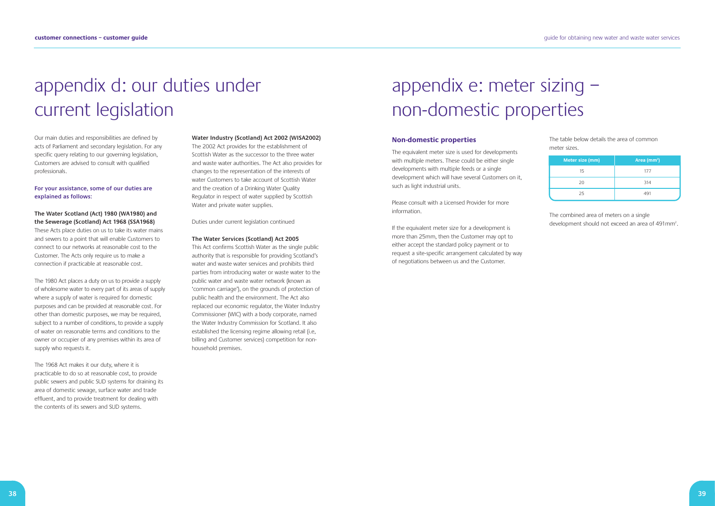# appendix d: our duties under current legislation

Our main duties and responsibilities are defined by acts of Parliament and secondary legislation. For any specific query relating to our governing legislation, Customers are advised to consult with qualified professionals.

**For your assistance, some of our duties are explained as follows:**

# **The Water Scotland (Act) 1980 (WA1980) and the Sewerage (Scotland) Act 1968 (SSA1968)**

These Acts place duties on us to take its water mains and sewers to a point that will enable Customers to connect to our networks at reasonable cost to the Customer. The Acts only require us to make a connection if practicable at reasonable cost.

The 1980 Act places a duty on us to provide a supply of wholesome water to every part of its areas of supply where a supply of water is required for domestic purposes and can be provided at reasonable cost. For other than domestic purposes, we may be required, subject to a number of conditions, to provide a supply of water on reasonable terms and conditions to the owner or occupier of any premises within its area of supply who requests it.

The 1968 Act makes it our duty, where it is practicable to do so at reasonable cost, to provide public sewers and public SUD systems for draining its area of domestic sewage, surface water and trade effluent, and to provide treatment for dealing with the contents of its sewers and SUD systems.

#### **Water Industry (Scotland) Act 2002 (WISA2002)**

If the equivalent meter size for a development is more than 25mm, then the Customer may opt to either accept the standard policy payment or to request a site-specific arrangement calculated by way of negotiations between us and the Customer.

The combined area of meters on a single development should not exceed an area of  $491$ mm<sup>2</sup>.

The 2002 Act provides for the establishment of Scottish Water as the successor to the three water and waste water authorities. The Act also provides for changes to the representation of the interests of water Customers to take account of Scottish Water and the creation of a Drinking Water Quality Regulator in respect of water supplied by Scottish Water and private water supplies.

Duties under current legislation continued

#### **The Water Services (Scotland) Act 2005**

This Act confirms Scottish Water as the single public authority that is responsible for providing Scotland's water and waste water services and prohibits third parties from introducing water or waste water to the public water and waste water network (known as 'common carriage'), on the grounds of protection of public health and the environment. The Act also replaced our economic regulator, the Water Industry Commissioner (WIC) with a body corporate, named the Water Industry Commission for Scotland. It also established the licensing regime allowing retail (i.e, billing and Customer services) competition for nonhousehold premises.

# appendix e: meter sizing – non-domestic properties

#### **Non-domestic properties**

The equivalent meter size is used for developments with multiple meters. These could be either single developments with multiple feeds or a single development which will have several Customers on it, such as light industrial units.

Please consult with a Licensed Provider for more information.

The table below details the area of common meter sizes.

| Meter size (mm) | Area $(mm2)$ |
|-----------------|--------------|
| 15              | 177          |
| 20              | 314          |
| 25              | 491          |